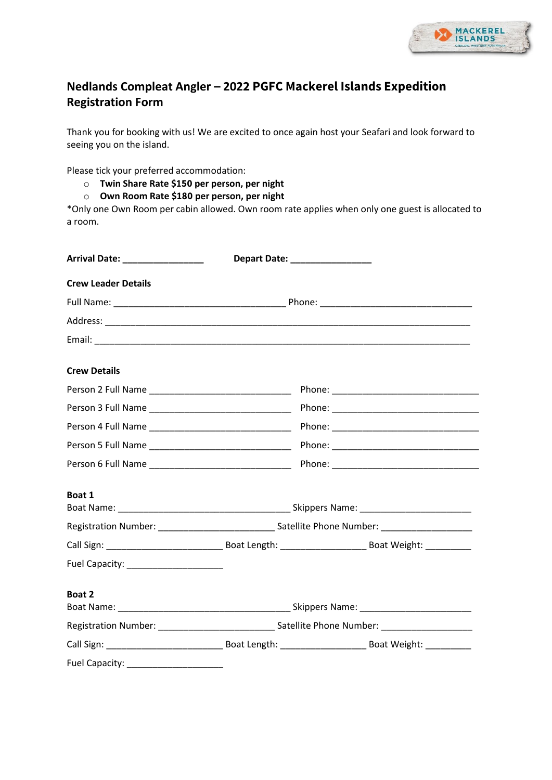

## **Nedlands Compleat Angler – 2022 PGFC Mackerel Islands Expedition Registration Form**

Thank you for booking with us! We are excited to once again host your Seafari and look forward to seeing you on the island.

Please tick your preferred accommodation:

- o **Twin Share Rate \$150 per person, per night**
- o **Own Room Rate \$180 per person, per night**

\*Only one Own Room per cabin allowed. Own room rate applies when only one guest is allocated to a room.

| Arrival Date: ___________________ |                                                                                                     | Depart Date: _________________ |  |  |  |
|-----------------------------------|-----------------------------------------------------------------------------------------------------|--------------------------------|--|--|--|
| <b>Crew Leader Details</b>        |                                                                                                     |                                |  |  |  |
|                                   |                                                                                                     |                                |  |  |  |
|                                   |                                                                                                     |                                |  |  |  |
|                                   |                                                                                                     |                                |  |  |  |
| <b>Crew Details</b>               |                                                                                                     |                                |  |  |  |
|                                   |                                                                                                     |                                |  |  |  |
|                                   |                                                                                                     |                                |  |  |  |
|                                   |                                                                                                     |                                |  |  |  |
|                                   |                                                                                                     |                                |  |  |  |
|                                   |                                                                                                     |                                |  |  |  |
| Boat 1                            |                                                                                                     |                                |  |  |  |
|                                   | Registration Number: __________________________________Satellite Phone Number: ____________________ |                                |  |  |  |
|                                   |                                                                                                     |                                |  |  |  |
|                                   |                                                                                                     |                                |  |  |  |
| Boat 2                            |                                                                                                     |                                |  |  |  |
|                                   |                                                                                                     |                                |  |  |  |
|                                   |                                                                                                     |                                |  |  |  |
|                                   |                                                                                                     |                                |  |  |  |
|                                   |                                                                                                     |                                |  |  |  |